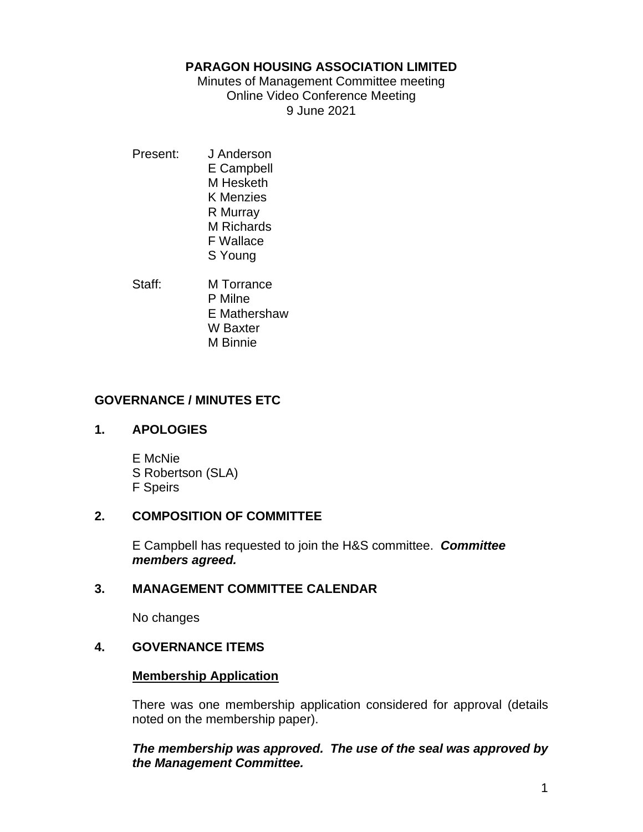## **PARAGON HOUSING ASSOCIATION LIMITED**

Minutes of Management Committee meeting Online Video Conference Meeting 9 June 2021

- Present: J Anderson E Campbell M Hesketh K Menzies R Murray M Richards F Wallace S Young
- Staff: **M Torrance** P Milne E Mathershaw W Baxter M Binnie

# **GOVERNANCE / MINUTES ETC**

## **1. APOLOGIES**

E McNie S Robertson (SLA) F Speirs

# **2. COMPOSITION OF COMMITTEE**

E Campbell has requested to join the H&S committee. *Committee members agreed.*

## **3. MANAGEMENT COMMITTEE CALENDAR**

No changes

# **4. GOVERNANCE ITEMS**

## **Membership Application**

There was one membership application considered for approval (details noted on the membership paper).

# *The membership was approved. The use of the seal was approved by the Management Committee.*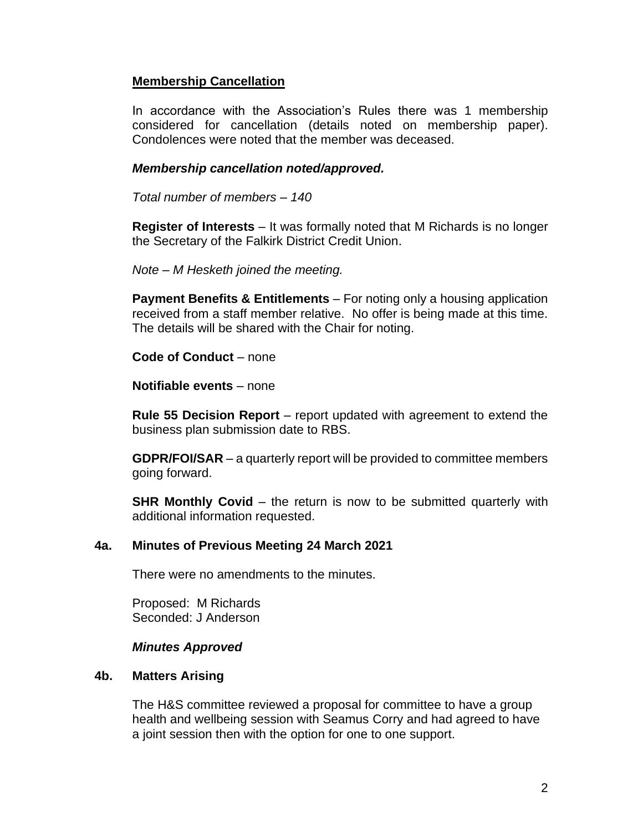# **Membership Cancellation**

In accordance with the Association's Rules there was 1 membership considered for cancellation (details noted on membership paper). Condolences were noted that the member was deceased.

## *Membership cancellation noted/approved.*

*Total number of members – 140*

**Register of Interests** – It was formally noted that M Richards is no longer the Secretary of the Falkirk District Credit Union.

*Note – M Hesketh joined the meeting.*

**Payment Benefits & Entitlements** – For noting only a housing application received from a staff member relative. No offer is being made at this time. The details will be shared with the Chair for noting.

**Code of Conduct** – none

**Notifiable events** – none

**Rule 55 Decision Report** – report updated with agreement to extend the business plan submission date to RBS.

**GDPR/FOI/SAR** – a quarterly report will be provided to committee members going forward.

**SHR Monthly Covid** – the return is now to be submitted quarterly with additional information requested.

## **4a. Minutes of Previous Meeting 24 March 2021**

There were no amendments to the minutes.

Proposed: M Richards Seconded: J Anderson

### *Minutes Approved*

### **4b. Matters Arising**

The H&S committee reviewed a proposal for committee to have a group health and wellbeing session with Seamus Corry and had agreed to have a joint session then with the option for one to one support.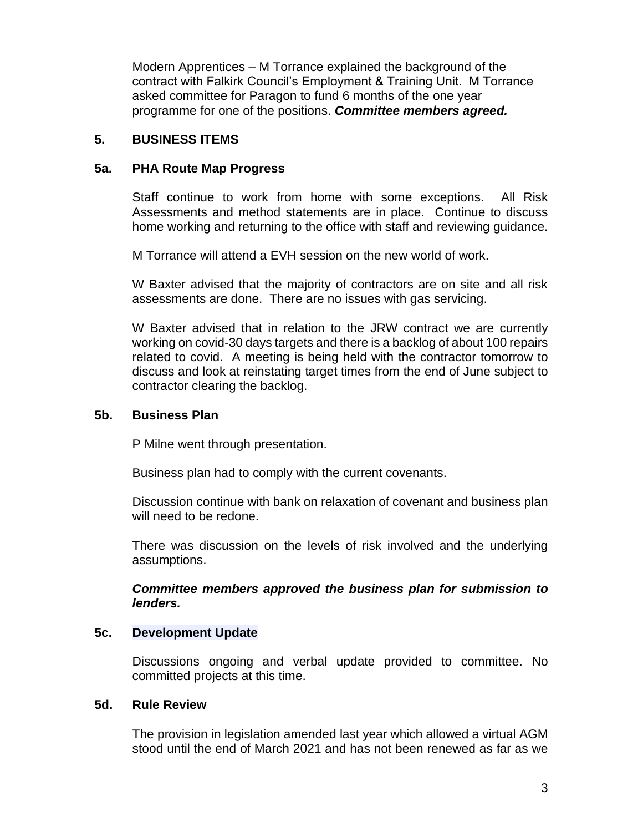Modern Apprentices – M Torrance explained the background of the contract with Falkirk Council's Employment & Training Unit. M Torrance asked committee for Paragon to fund 6 months of the one year programme for one of the positions. *Committee members agreed.*

## **5. BUSINESS ITEMS**

# **5a. PHA Route Map Progress**

Staff continue to work from home with some exceptions. All Risk Assessments and method statements are in place. Continue to discuss home working and returning to the office with staff and reviewing guidance.

M Torrance will attend a EVH session on the new world of work.

W Baxter advised that the majority of contractors are on site and all risk assessments are done. There are no issues with gas servicing.

W Baxter advised that in relation to the JRW contract we are currently working on covid-30 days targets and there is a backlog of about 100 repairs related to covid. A meeting is being held with the contractor tomorrow to discuss and look at reinstating target times from the end of June subject to contractor clearing the backlog.

# **5b. Business Plan**

P Milne went through presentation.

Business plan had to comply with the current covenants.

Discussion continue with bank on relaxation of covenant and business plan will need to be redone.

There was discussion on the levels of risk involved and the underlying assumptions.

*Committee members approved the business plan for submission to lenders.*

## **5c. Development Update**

Discussions ongoing and verbal update provided to committee. No committed projects at this time.

## **5d. Rule Review**

The provision in legislation amended last year which allowed a virtual AGM stood until the end of March 2021 and has not been renewed as far as we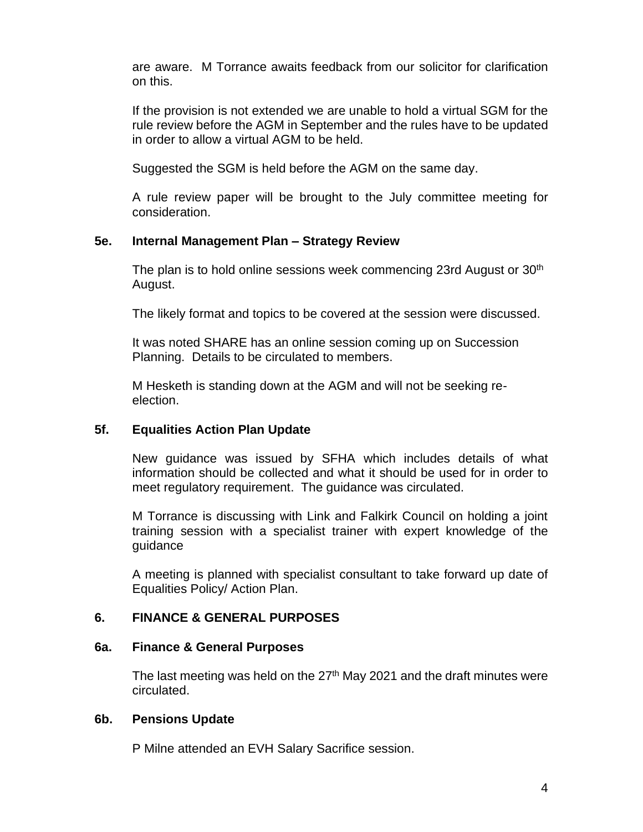are aware. M Torrance awaits feedback from our solicitor for clarification on this.

If the provision is not extended we are unable to hold a virtual SGM for the rule review before the AGM in September and the rules have to be updated in order to allow a virtual AGM to be held.

Suggested the SGM is held before the AGM on the same day.

A rule review paper will be brought to the July committee meeting for consideration.

## **5e. Internal Management Plan – Strategy Review**

The plan is to hold online sessions week commencing 23rd August or  $30<sup>th</sup>$ August.

The likely format and topics to be covered at the session were discussed.

It was noted SHARE has an online session coming up on Succession Planning. Details to be circulated to members.

M Hesketh is standing down at the AGM and will not be seeking reelection.

## **5f. Equalities Action Plan Update**

New guidance was issued by SFHA which includes details of what information should be collected and what it should be used for in order to meet regulatory requirement. The guidance was circulated.

M Torrance is discussing with Link and Falkirk Council on holding a joint training session with a specialist trainer with expert knowledge of the guidance

A meeting is planned with specialist consultant to take forward up date of Equalities Policy/ Action Plan.

## **6. FINANCE & GENERAL PURPOSES**

### **6a. Finance & General Purposes**

The last meeting was held on the  $27<sup>th</sup>$  May 2021 and the draft minutes were circulated.

### **6b. Pensions Update**

P Milne attended an EVH Salary Sacrifice session.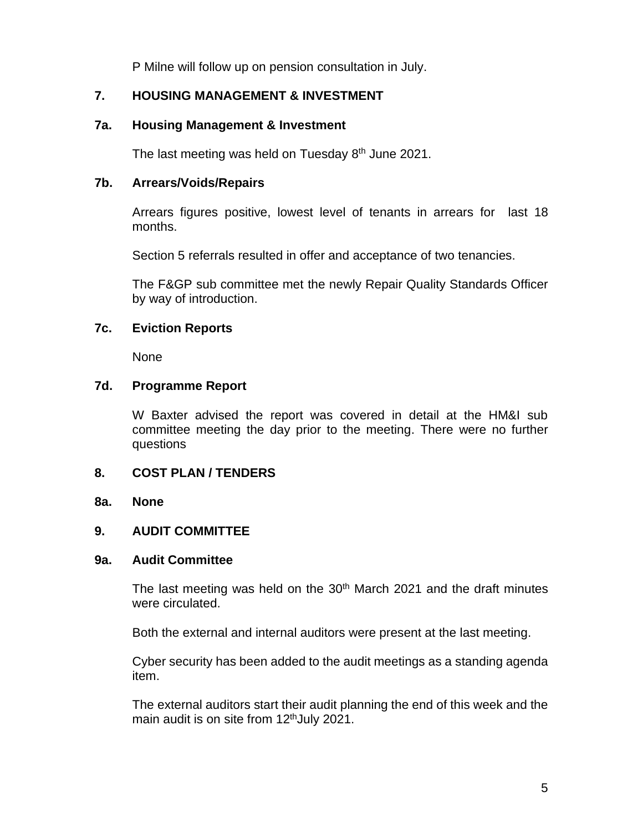P Milne will follow up on pension consultation in July.

# **7. HOUSING MANAGEMENT & INVESTMENT**

## **7a. Housing Management & Investment**

The last meeting was held on Tuesday 8<sup>th</sup> June 2021.

## **7b. Arrears/Voids/Repairs**

Arrears figures positive, lowest level of tenants in arrears for last 18 months.

Section 5 referrals resulted in offer and acceptance of two tenancies.

The F&GP sub committee met the newly Repair Quality Standards Officer by way of introduction.

## **7c. Eviction Reports**

None

### **7d. Programme Report**

W Baxter advised the report was covered in detail at the HM&I sub committee meeting the day prior to the meeting. There were no further questions

## **8. COST PLAN / TENDERS**

### **8a. None**

## **9. AUDIT COMMITTEE**

### **9a. Audit Committee**

The last meeting was held on the  $30<sup>th</sup>$  March 2021 and the draft minutes were circulated.

Both the external and internal auditors were present at the last meeting.

Cyber security has been added to the audit meetings as a standing agenda item.

The external auditors start their audit planning the end of this week and the main audit is on site from 12<sup>th</sup>July 2021.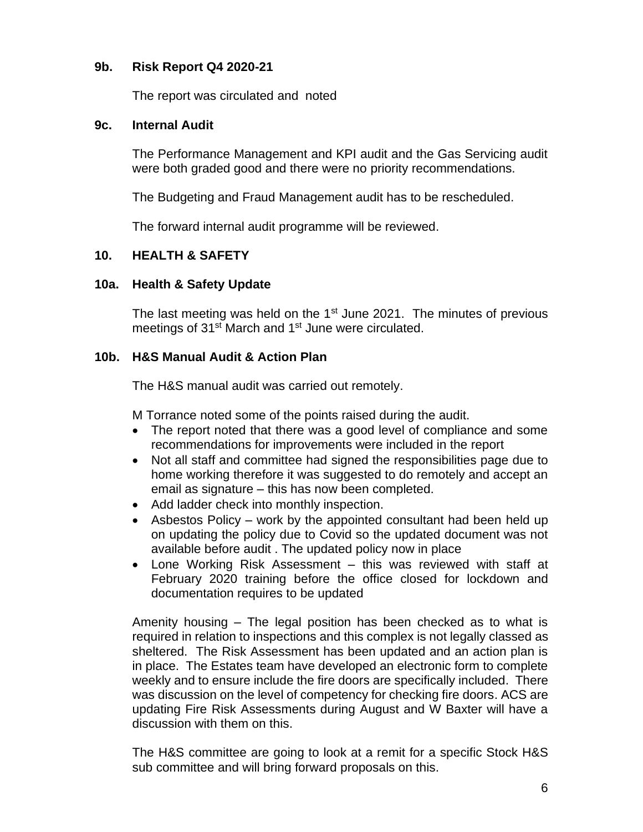# **9b. Risk Report Q4 2020-21**

The report was circulated and noted

## **9c. Internal Audit**

The Performance Management and KPI audit and the Gas Servicing audit were both graded good and there were no priority recommendations.

The Budgeting and Fraud Management audit has to be rescheduled.

The forward internal audit programme will be reviewed.

# **10. HEALTH & SAFETY**

## **10a. Health & Safety Update**

The last meeting was held on the  $1<sup>st</sup>$  June 2021. The minutes of previous meetings of 31<sup>st</sup> March and 1<sup>st</sup> June were circulated.

## **10b. H&S Manual Audit & Action Plan**

The H&S manual audit was carried out remotely.

M Torrance noted some of the points raised during the audit.

- The report noted that there was a good level of compliance and some recommendations for improvements were included in the report
- Not all staff and committee had signed the responsibilities page due to home working therefore it was suggested to do remotely and accept an email as signature – this has now been completed.
- Add ladder check into monthly inspection.
- Asbestos Policy work by the appointed consultant had been held up on updating the policy due to Covid so the updated document was not available before audit . The updated policy now in place
- Lone Working Risk Assessment this was reviewed with staff at February 2020 training before the office closed for lockdown and documentation requires to be updated

Amenity housing – The legal position has been checked as to what is required in relation to inspections and this complex is not legally classed as sheltered. The Risk Assessment has been updated and an action plan is in place. The Estates team have developed an electronic form to complete weekly and to ensure include the fire doors are specifically included. There was discussion on the level of competency for checking fire doors. ACS are updating Fire Risk Assessments during August and W Baxter will have a discussion with them on this.

The H&S committee are going to look at a remit for a specific Stock H&S sub committee and will bring forward proposals on this.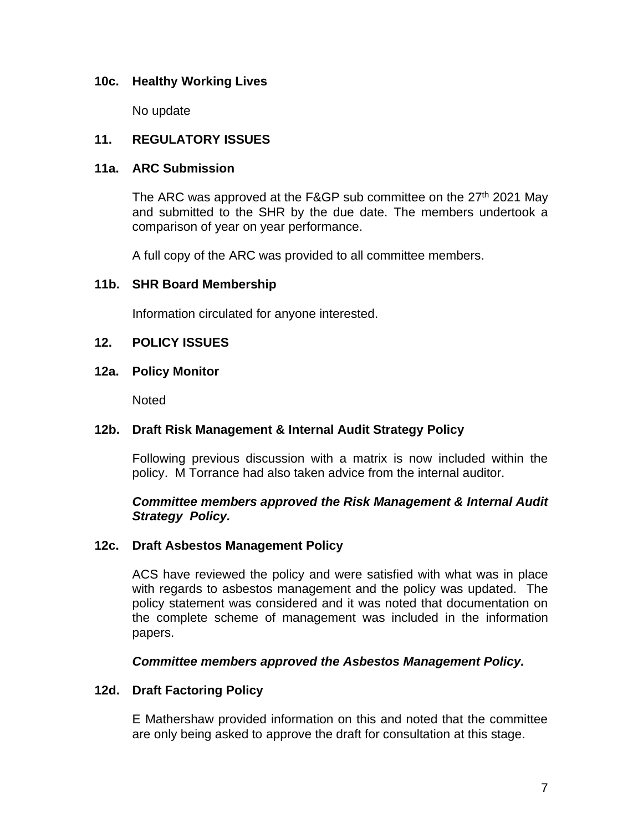## **10c. Healthy Working Lives**

No update

## **11. REGULATORY ISSUES**

### **11a. ARC Submission**

The ARC was approved at the F&GP sub committee on the  $27<sup>th</sup>$  2021 May and submitted to the SHR by the due date. The members undertook a comparison of year on year performance.

A full copy of the ARC was provided to all committee members.

## **11b. SHR Board Membership**

Information circulated for anyone interested.

## **12. POLICY ISSUES**

## **12a. Policy Monitor**

**Noted** 

## **12b. Draft Risk Management & Internal Audit Strategy Policy**

Following previous discussion with a matrix is now included within the policy. M Torrance had also taken advice from the internal auditor.

## *Committee members approved the Risk Management & Internal Audit Strategy Policy.*

## **12c. Draft Asbestos Management Policy**

ACS have reviewed the policy and were satisfied with what was in place with regards to asbestos management and the policy was updated. The policy statement was considered and it was noted that documentation on the complete scheme of management was included in the information papers.

## *Committee members approved the Asbestos Management Policy.*

## **12d. Draft Factoring Policy**

E Mathershaw provided information on this and noted that the committee are only being asked to approve the draft for consultation at this stage.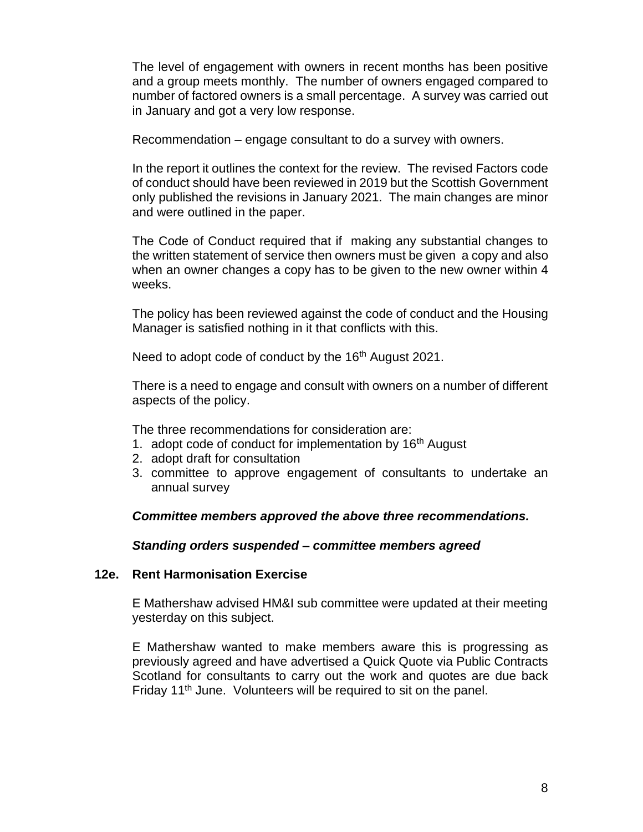The level of engagement with owners in recent months has been positive and a group meets monthly. The number of owners engaged compared to number of factored owners is a small percentage. A survey was carried out in January and got a very low response.

Recommendation – engage consultant to do a survey with owners.

In the report it outlines the context for the review. The revised Factors code of conduct should have been reviewed in 2019 but the Scottish Government only published the revisions in January 2021. The main changes are minor and were outlined in the paper.

The Code of Conduct required that if making any substantial changes to the written statement of service then owners must be given a copy and also when an owner changes a copy has to be given to the new owner within 4 weeks.

The policy has been reviewed against the code of conduct and the Housing Manager is satisfied nothing in it that conflicts with this.

Need to adopt code of conduct by the 16<sup>th</sup> August 2021.

There is a need to engage and consult with owners on a number of different aspects of the policy.

The three recommendations for consideration are:

- 1. adopt code of conduct for implementation by  $16<sup>th</sup>$  August
- 2. adopt draft for consultation
- 3. committee to approve engagement of consultants to undertake an annual survey

## *Committee members approved the above three recommendations.*

## *Standing orders suspended – committee members agreed*

## **12e. Rent Harmonisation Exercise**

E Mathershaw advised HM&I sub committee were updated at their meeting yesterday on this subject.

E Mathershaw wanted to make members aware this is progressing as previously agreed and have advertised a Quick Quote via Public Contracts Scotland for consultants to carry out the work and quotes are due back Friday 11<sup>th</sup> June. Volunteers will be required to sit on the panel.